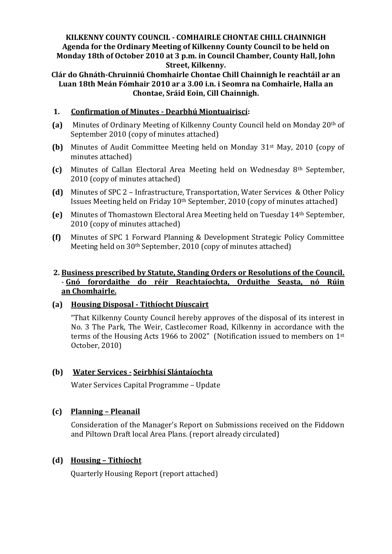### **KILKENNY COUNTY COUNCIL - COMHAIRLE CHONTAE CHILL CHAINNIGH Agenda for the Ordinary Meeting of Kilkenny County Council to be held on Monday 18th of October 2010 at 3 p.m. in Council Chamber, County Hall, John Street, Kilkenny.**

**Clár do Ghnáth-Chruinniú Chomhairle Chontae Chill Chainnigh le reachtáil ar an Luan 18th Meán Fómhair 2010 ar a 3.00 i.n. i Seomra na Comhairle, Halla an Chontae, Sráid Eoin, Cill Chainnigh.**

# **1. Confirmation of Minutes - Dearbhú Miontuairiscí:**

- **(a)** Minutes of Ordinary Meeting of Kilkenny County Council held on Monday 20th of September 2010 (copy of minutes attached)
- **(b)** Minutes of Audit Committee Meeting held on Monday 31st May, 2010 (copy of minutes attached)
- **(c)** Minutes of Callan Electoral Area Meeting held on Wednesday 8th September, 2010 (copy of minutes attached)
- **(d)** Minutes of SPC 2 Infrastructure, Transportation, Water Services & Other Policy Issues Meeting held on Friday 10th September, 2010 (copy of minutes attached)
- **(e)** Minutes of Thomastown Electoral Area Meeting held on Tuesday 14th September, 2010 (copy of minutes attached)
- **(f)** Minutes of SPC 1 Forward Planning & Development Strategic Policy Committee Meeting held on 30th September, 2010 (copy of minutes attached)

# **2. Business prescribed by Statute, Standing Orders or Resolutions of the Council.** - **Gnó forordaithe do réir Reachtaíochta, Orduithe Seasta, nó Rúin an Chomhairle.**

### **(a) Housing Disposal - Tithíocht Díuscairt**

"That Kilkenny County Council hereby approves of the disposal of its interest in No. 3 The Park, The Weir, Castlecomer Road, Kilkenny in accordance with the terms of the Housing Acts 1966 to 2002" (Notification issued to members on 1st October, 2010)

# **(b) Water Services - Seirbhísí Slántaíochta**

Water Services Capital Programme – Update

# **(c) Planning – Pleanail**

Consideration of the Manager's Report on Submissions received on the Fiddown and Piltown Draft local Area Plans. (report already circulated)

### **(d) Housing – Tithíocht**

Quarterly Housing Report (report attached)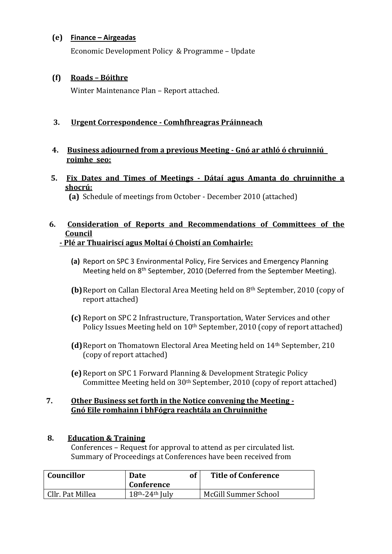# **(e) Finance – Airgeadas**

Economic Development Policy & Programme – Update

# **(f) Roads – Bóithre**

Winter Maintenance Plan – Report attached.

# **3. Urgent Correspondence - Comhfhreagras Práinneach**

# **4. Business adjourned from a previous Meeting - Gnó ar athló ó chruinniú roimhe seo:**

 **5. Fix Dates and Times of Meetings - Dátaí agus Amanta do chruinnithe a shocrú:**

 **(a)** Schedule of meetings from October - December 2010 (attached)

#### **6. Consideration of Reports and Recommendations of Committees of the Council - Plé ar Thuairiscí agus Moltaí ó Choistí an Comhairle:**

- **(a)** Report on SPC 3 Environmental Policy, Fire Services and Emergency Planning Meeting held on 8<sup>th</sup> September, 2010 (Deferred from the September Meeting).
- **(b)**Report on Callan Electoral Area Meeting held on 8th September, 2010 (copy of report attached)
- **(c)** Report on SPC 2 Infrastructure, Transportation, Water Services and other Policy Issues Meeting held on 10<sup>th</sup> September, 2010 (copy of report attached)
- **(d)**Report on Thomatown Electoral Area Meeting held on 14th September, 210 (copy of report attached)
- **(e)**Report on SPC 1 Forward Planning & Development Strategic Policy Committee Meeting held on 30th September, 2010 (copy of report attached)

### **7. Other Business set forth in the Notice convening the Meeting - Gnó Eile romhainn i bhFógra reachtála an Chruinnithe**

### **8. Education & Training**

Conferences – Request for approval to attend as per circulated list. Summary of Proceedings at Conferences have been received from

| Councillor       | <b>Date</b><br>Conference | <b>Title of Conference</b> |
|------------------|---------------------------|----------------------------|
| Cllr. Pat Millea | $18th - 24th$ July        | McGill Summer School       |